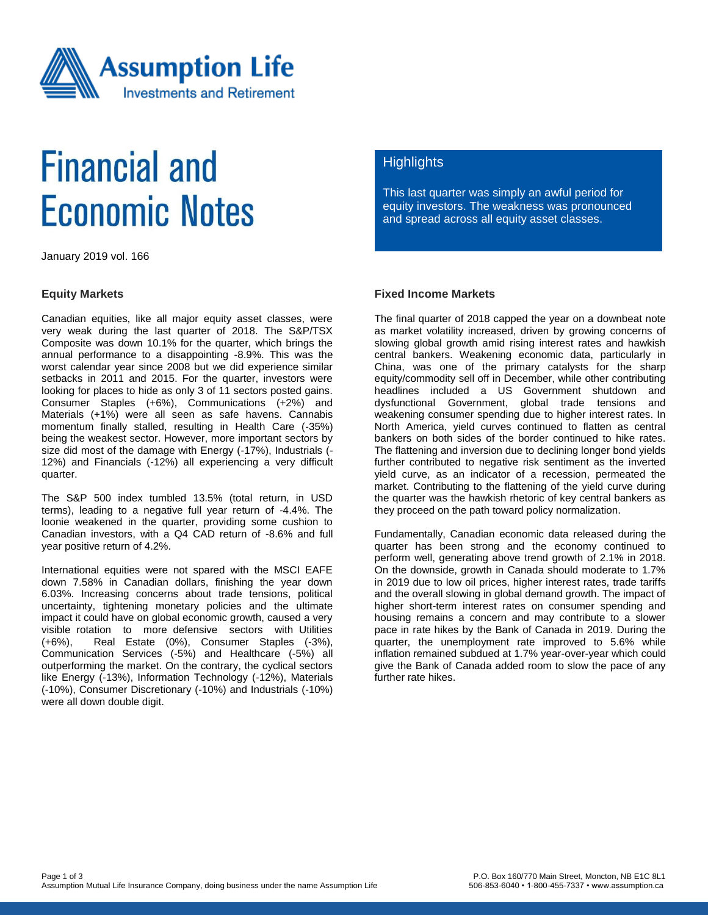

# **Financial and Economic Notes**

January 2019 vol. 166

#### **Equity Markets**

Canadian equities, like all major equity asset classes, were very weak during the last quarter of 2018. The S&P/TSX Composite was down 10.1% for the quarter, which brings the annual performance to a disappointing -8.9%. This was the worst calendar year since 2008 but we did experience similar setbacks in 2011 and 2015. For the quarter, investors were looking for places to hide as only 3 of 11 sectors posted gains. Consumer Staples (+6%), Communications (+2%) and Materials (+1%) were all seen as safe havens. Cannabis momentum finally stalled, resulting in Health Care (-35%) being the weakest sector. However, more important sectors by size did most of the damage with Energy (-17%), Industrials (- 12%) and Financials (-12%) all experiencing a very difficult quarter.

The S&P 500 index tumbled 13.5% (total return, in USD terms), leading to a negative full year return of -4.4%. The loonie weakened in the quarter, providing some cushion to Canadian investors, with a Q4 CAD return of -8.6% and full year positive return of 4.2%.

International equities were not spared with the MSCI EAFE down 7.58% in Canadian dollars, finishing the year down 6.03%. Increasing concerns about trade tensions, political uncertainty, tightening monetary policies and the ultimate impact it could have on global economic growth, caused a very visible rotation to more defensive sectors with Utilities (+6%), Real Estate (0%), Consumer Staples (-3%), Communication Services (-5%) and Healthcare (-5%) all outperforming the market. On the contrary, the cyclical sectors like Energy (-13%), Information Technology (-12%), Materials (-10%), Consumer Discretionary (-10%) and Industrials (-10%) were all down double digit.

### **Highlights**

This last quarter was simply an awful period for equity investors. The weakness was pronounced and spread across all equity asset classes.

#### **Fixed Income Markets**

The final quarter of 2018 capped the year on a downbeat note as market volatility increased, driven by growing concerns of slowing global growth amid rising interest rates and hawkish central bankers. Weakening economic data, particularly in China, was one of the primary catalysts for the sharp equity/commodity sell off in December, while other contributing headlines included a US Government shutdown and dysfunctional Government, global trade tensions and weakening consumer spending due to higher interest rates. In North America, yield curves continued to flatten as central bankers on both sides of the border continued to hike rates. The flattening and inversion due to declining longer bond yields further contributed to negative risk sentiment as the inverted yield curve, as an indicator of a recession, permeated the market. Contributing to the flattening of the yield curve during the quarter was the hawkish rhetoric of key central bankers as they proceed on the path toward policy normalization.

Fundamentally, Canadian economic data released during the quarter has been strong and the economy continued to perform well, generating above trend growth of 2.1% in 2018. On the downside, growth in Canada should moderate to 1.7% in 2019 due to low oil prices, higher interest rates, trade tariffs and the overall slowing in global demand growth. The impact of higher short-term interest rates on consumer spending and housing remains a concern and may contribute to a slower pace in rate hikes by the Bank of Canada in 2019. During the quarter, the unemployment rate improved to 5.6% while inflation remained subdued at 1.7% year-over-year which could give the Bank of Canada added room to slow the pace of any further rate hikes.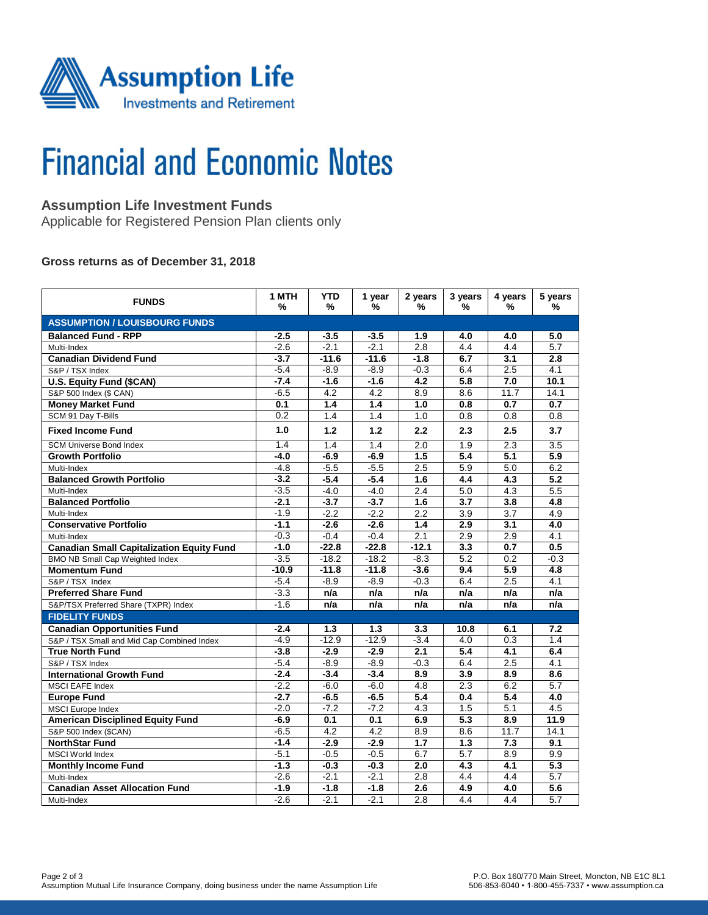

# **Financial and Economic Notes**

# **Assumption Life Investment Funds**

Applicable for Registered Pension Plan clients only

### **Gross returns as of December 31, 2018**

| <b>FUNDS</b>                                     | 1 MTH<br>% | <b>YTD</b><br>% | 1 year<br>% | 2 years<br>%     | 3 years<br>%     | 4 years<br>%     | 5 years<br>%     |  |  |  |  |
|--------------------------------------------------|------------|-----------------|-------------|------------------|------------------|------------------|------------------|--|--|--|--|
| <b>ASSUMPTION / LOUISBOURG FUNDS</b>             |            |                 |             |                  |                  |                  |                  |  |  |  |  |
| <b>Balanced Fund - RPP</b>                       | $-2.5$     | $-3.5$          | $-3.5$      | 1.9              | 4.0              | 4.0              | 5.0              |  |  |  |  |
| Multi-Index                                      | $-2.6$     | $-2.1$          | $-2.1$      | 2.8              | 4.4              | 4.4              | 5.7              |  |  |  |  |
| <b>Canadian Dividend Fund</b>                    | $-3.7$     | $-11.6$         | $-11.6$     | $-1.8$           | 6.7              | 3.1              | 2.8              |  |  |  |  |
| S&P / TSX Index                                  | $-5.4$     | $-8.9$          | $-8.9$      | $-0.3$           | 6.4              | $\overline{2.5}$ | 4.1              |  |  |  |  |
| U.S. Equity Fund (\$CAN)                         | $-7.4$     | $-1.6$          | $-1.6$      | 4.2              | 5.8              | 7.0              | 10.1             |  |  |  |  |
| S&P 500 Index (\$ CAN)                           | $-6.5$     | 4.2             | 4.2         | 8.9              | 8.6              | 11.7             | 14.1             |  |  |  |  |
| <b>Money Market Fund</b>                         | 0.1        | 1.4             | 1.4         | 1.0              | 0.8              | 0.7              | 0.7              |  |  |  |  |
| SCM 91 Day T-Bills                               | 0.2        | 1.4             | 1.4         | 1.0              | 0.8              | 0.8              | 0.8              |  |  |  |  |
| <b>Fixed Income Fund</b>                         | 1.0        | 1.2             | 1.2         | 2.2              | 2.3              | 2.5              | 3.7              |  |  |  |  |
| <b>SCM Universe Bond Index</b>                   | 1.4        | 1.4             | 1.4         | 2.0              | 1.9              | 2.3              | 3.5              |  |  |  |  |
| <b>Growth Portfolio</b>                          | $-4.0$     | $-6.9$          | $-6.9$      | 1.5              | 5.4              | $\overline{5.1}$ | 5.9              |  |  |  |  |
| Multi-Index                                      | $-4.8$     | $-5.5$          | $-5.5$      | 2.5              | 5.9              | 5.0              | 6.2              |  |  |  |  |
| <b>Balanced Growth Portfolio</b>                 | $-3.2$     | $-5.4$          | $-5.4$      | 1.6              | 4.4              | 4.3              | 5.2              |  |  |  |  |
| Multi-Index                                      | $-3.5$     | $-4.0$          | $-4.0$      | 2.4              | 5.0              | 4.3              | 5.5              |  |  |  |  |
| <b>Balanced Portfolio</b>                        | $-2.1$     | $-3.7$          | $-3.7$      | 1.6              | 3.7              | 3.8              | 4.8              |  |  |  |  |
| Multi-Index                                      | $-1.9$     | $-2.2$          | $-2.2$      | $\overline{2.2}$ | 3.9              | $\overline{3.7}$ | 4.9              |  |  |  |  |
| <b>Conservative Portfolio</b>                    | $-1.1$     | $-2.6$          | $-2.6$      | 1.4              | $\overline{2.9}$ | 3.1              | 4.0              |  |  |  |  |
| Multi-Index                                      | $-0.3$     | $-0.4$          | $-0.4$      | 2.1              | 2.9              | 2.9              | 4.1              |  |  |  |  |
| <b>Canadian Small Capitalization Equity Fund</b> | $-1.0$     | $-22.8$         | $-22.8$     | $-12.1$          | 3.3              | 0.7              | 0.5              |  |  |  |  |
| <b>BMO NB Small Cap Weighted Index</b>           | $-3.5$     | $-18.2$         | $-18.2$     | $-8.3$           | 5.2              | 0.2              | $-0.3$           |  |  |  |  |
| <b>Momentum Fund</b>                             | $-10.9$    | $-11.8$         | $-11.8$     | $-3.6$           | 9.4              | 5.9              | 4.8              |  |  |  |  |
| S&P / TSX Index                                  | $-5.4$     | $-8.9$          | $-8.9$      | $-0.3$           | 6.4              | $\overline{2.5}$ | $\overline{4.1}$ |  |  |  |  |
| <b>Preferred Share Fund</b>                      | $-3.3$     | n/a             | n/a         | n/a              | n/a              | n/a              | n/a              |  |  |  |  |
| S&P/TSX Preferred Share (TXPR) Index             | $-1.6$     | n/a             | n/a         | n/a              | n/a              | n/a              | n/a              |  |  |  |  |
| <b>FIDELITY FUNDS</b>                            |            |                 |             |                  |                  |                  |                  |  |  |  |  |
| <b>Canadian Opportunities Fund</b>               | $-2.4$     | 1.3             | 1.3         | 3.3              | 10.8             | 6.1              | 7.2              |  |  |  |  |
| S&P / TSX Small and Mid Cap Combined Index       | $-4.9$     | $-12.9$         | $-12.9$     | $-3.4$           | 4.0              | 0.3              | 1.4              |  |  |  |  |
| <b>True North Fund</b>                           | $-3.8$     | $-2.9$          | $-2.9$      | $\overline{2.1}$ | 5.4              | 4.1              | 6.4              |  |  |  |  |
| S&P / TSX Index                                  | $-5.4$     | $-8.9$          | $-8.9$      | $-0.3$           | 6.4              | $\overline{2.5}$ | 4.1              |  |  |  |  |
| <b>International Growth Fund</b>                 | $-2.4$     | $-3.4$          | $-3.4$      | 8.9              | 3.9              | 8.9              | 8.6              |  |  |  |  |
| <b>MSCI EAFE Index</b>                           | $-2.2$     | $-6.0$          | $-6.0$      | 4.8              | 2.3              | 6.2              | 5.7              |  |  |  |  |
| <b>Europe Fund</b>                               | $-2.7$     | $-6.5$          | $-6.5$      | 5.4              | 0.4              | 5.4              | 4.0              |  |  |  |  |
| <b>MSCI</b> Europe Index                         | $-2.0$     | $-7.2$          | $-7.2$      | 4.3              | 1.5              | $\overline{5.1}$ | 4.5              |  |  |  |  |
| <b>American Disciplined Equity Fund</b>          | $-6.9$     | 0.1             | 0.1         | 6.9              | 5.3              | 8.9              | 11.9             |  |  |  |  |
| S&P 500 Index (\$CAN)                            | $-6.5$     | 4.2             | 4.2         | 8.9              | 8.6              | 11.7             | 14.1             |  |  |  |  |
| <b>NorthStar Fund</b>                            | $-1.4$     | $-2.9$          | $-2.9$      | $\overline{1.7}$ | 1.3              | $\overline{7.3}$ | 9.1              |  |  |  |  |
| <b>MSCI World Index</b>                          | $-5.1$     | $-0.5$          | $-0.5$      | 6.7              | 5.7              | 8.9              | 9.9              |  |  |  |  |
| <b>Monthly Income Fund</b>                       | $-1.3$     | $-0.3$          | $-0.3$      | 2.0              | 4.3              | 4.1              | 5.3              |  |  |  |  |
| Multi-Index                                      | $-2.6$     | $-2.1$          | $-2.1$      | 2.8              | 4.4              | 4.4              | 5.7              |  |  |  |  |
| <b>Canadian Asset Allocation Fund</b>            | $-1.9$     | $-1.8$          | $-1.8$      | 2.6              | 4.9              | 4.0              | 5.6              |  |  |  |  |
| Multi-Index                                      | $-2.6$     | $-2.1$          | $-2.1$      | 2.8              | 4.4              | 4.4              | $\overline{5.7}$ |  |  |  |  |